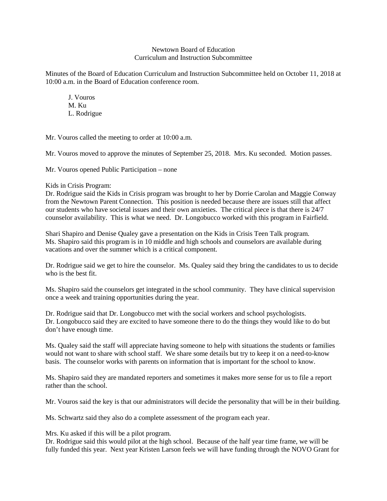## Newtown Board of Education Curriculum and Instruction Subcommittee

Minutes of the Board of Education Curriculum and Instruction Subcommittee held on October 11, 2018 at 10:00 a.m. in the Board of Education conference room.

J. Vouros M. Ku L. Rodrigue

Mr. Vouros called the meeting to order at 10:00 a.m.

Mr. Vouros moved to approve the minutes of September 25, 2018. Mrs. Ku seconded. Motion passes.

Mr. Vouros opened Public Participation – none

## Kids in Crisis Program:

Dr. Rodrigue said the Kids in Crisis program was brought to her by Dorrie Carolan and Maggie Conway from the Newtown Parent Connection. This position is needed because there are issues still that affect our students who have societal issues and their own anxieties. The critical piece is that there is 24/7 counselor availability. This is what we need. Dr. Longobucco worked with this program in Fairfield.

Shari Shapiro and Denise Qualey gave a presentation on the Kids in Crisis Teen Talk program. Ms. Shapiro said this program is in 10 middle and high schools and counselors are available during vacations and over the summer which is a critical component.

Dr. Rodrigue said we get to hire the counselor. Ms. Qualey said they bring the candidates to us to decide who is the best fit.

Ms. Shapiro said the counselors get integrated in the school community. They have clinical supervision once a week and training opportunities during the year.

Dr. Rodrigue said that Dr. Longobucco met with the social workers and school psychologists. Dr. Longobucco said they are excited to have someone there to do the things they would like to do but don't have enough time.

Ms. Qualey said the staff will appreciate having someone to help with situations the students or families would not want to share with school staff. We share some details but try to keep it on a need-to-know basis. The counselor works with parents on information that is important for the school to know.

Ms. Shapiro said they are mandated reporters and sometimes it makes more sense for us to file a report rather than the school.

Mr. Vouros said the key is that our administrators will decide the personality that will be in their building.

Ms. Schwartz said they also do a complete assessment of the program each year.

Mrs. Ku asked if this will be a pilot program.

Dr. Rodrigue said this would pilot at the high school. Because of the half year time frame, we will be fully funded this year. Next year Kristen Larson feels we will have funding through the NOVO Grant for